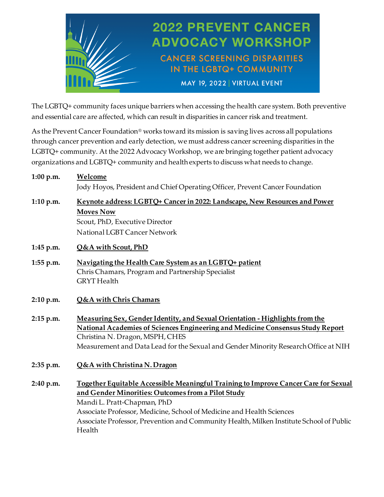

The LGBTQ+ community faces unique barriers when accessing the health care system. Both preventive and essential care are affected, which can result in disparities in cancer risk and treatment.

As the Prevent Cancer Foundation® works toward its mission is saving lives across all populations through cancer prevention and early detection, we must address cancer screening disparities in the LGBTQ+ community. At the 2022 Advocacy Workshop, we are bringing together patient advocacy organizations and LGBTQ+ community and health experts to discuss what needs to change.

| 1:00 p.m.   | Welcome                                                                                 |
|-------------|-----------------------------------------------------------------------------------------|
|             | Jody Hoyos, President and Chief Operating Officer, Prevent Cancer Foundation            |
| 1:10 p.m.   | Keynote address: LGBTQ+ Cancer in 2022: Landscape, New Resources and Power              |
|             | <b>Moves Now</b>                                                                        |
|             | Scout, PhD, Executive Director                                                          |
|             | National LGBT Cancer Network                                                            |
| 1:45 p.m.   | Q&A with Scout, PhD                                                                     |
| 1:55 p.m.   | Navigating the Health Care System as an LGBTQ+ patient                                  |
|             | Chris Chamars, Program and Partnership Specialist                                       |
|             | <b>GRYT</b> Health                                                                      |
| 2:10 p.m.   | <b>Q&amp;A</b> with Chris Chamars                                                       |
| 2:15 p.m.   | Measuring Sex, Gender Identity, and Sexual Orientation - Highlights from the            |
|             | National Academies of Sciences Engineering and Medicine Consensus Study Report          |
|             | Christina N. Dragon, MSPH, CHES                                                         |
|             | Measurement and Data Lead for the Sexual and Gender Minority Research Office at NIH     |
| $2:35$ p.m. | Q&A with Christina N. Dragon                                                            |
| 2:40 p.m.   | Together Equitable Accessible Meaningful Training to Improve Cancer Care for Sexual     |
|             | and Gender Minorities: Outcomes from a Pilot Study                                      |
|             | Mandi L. Pratt-Chapman, PhD                                                             |
|             | Associate Professor, Medicine, School of Medicine and Health Sciences                   |
|             | Associate Professor, Prevention and Community Health, Milken Institute School of Public |
|             | Health                                                                                  |